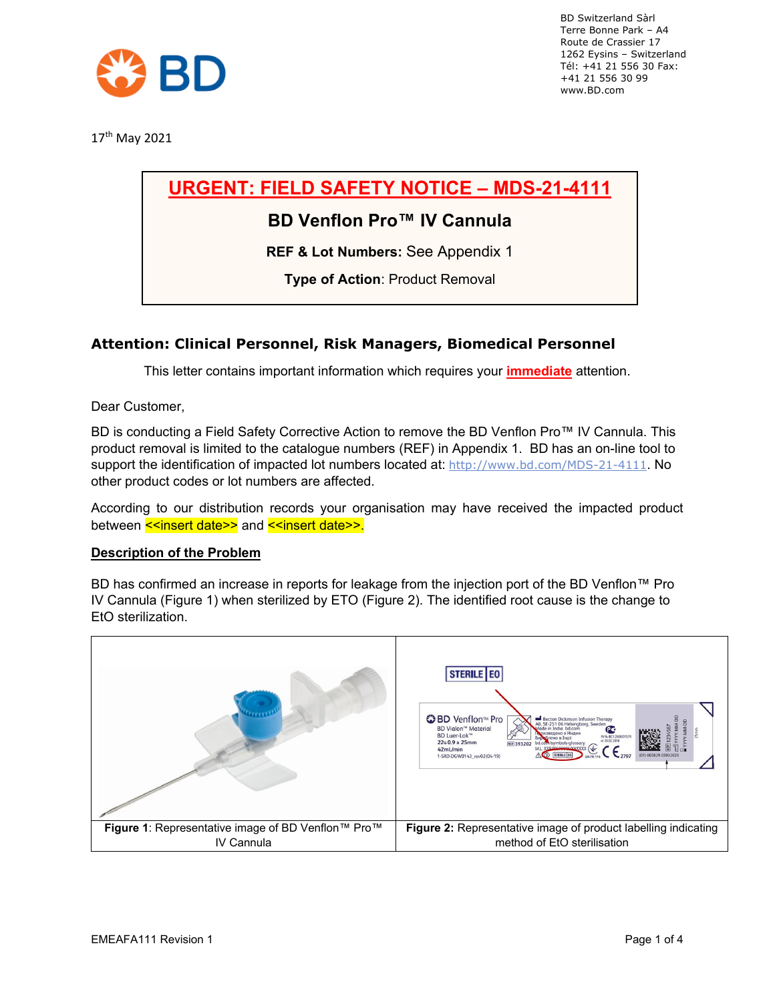

17th May 2021

# **URGENT: FIELD SAFETY NOTICE – MDS-21-4111**

### **BD Venflon Pro™ IV Cannula**

**REF & Lot Numbers:** See Appendix 1

**Type of Action**: Product Removal

### **Attention: Clinical Personnel, Risk Managers, Biomedical Personnel**

This letter contains important information which requires your **immediate** attention.

Dear Customer,

BD is conducting a Field Safety Corrective Action to remove the BD Venflon Pro™ IV Cannula. This product removal is limited to the catalogue numbers (REF) in Appendix 1. BD has an on-line tool to support the identification of impacted lot numbers located at: <http://www.bd.com/MDS-21-4111>. No other product codes or lot numbers are affected.

According to our distribution records your organisation may have received the impacted product between <<insert date>> and <<insert date>>.

### **Description of the Problem**

BD has confirmed an increase in reports for leakage from the injection port of the BD Venflon™ Pro IV Cannula (Figure 1) when sterilized by ETO (Figure 2). The identified root cause is the change to EtO sterilization.

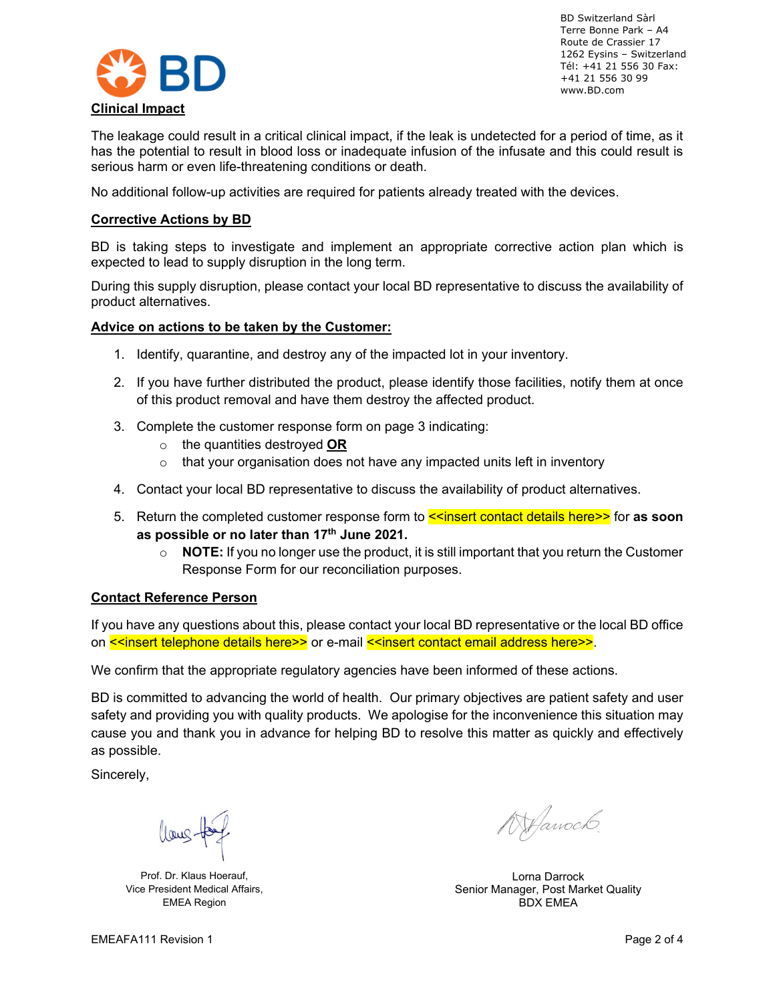

The leakage could result in a critical clinical impact, if the leak is undetected for a period of time, as it has the potential to result in blood loss or inadequate infusion of the infusate and this could result is serious harm or even life-threatening conditions or death.

No additional follow-up activities are required for patients already treated with the devices.

### **Corrective Actions by BD**

BD is taking steps to investigate and implement an appropriate corrective action plan which is expected to lead to supply disruption in the long term.

During this supply disruption, please contact your local BD representative to discuss the availability of product alternatives.

### **Advice on actions to be taken by the Customer:**

- 1. Identify, quarantine, and destroy any of the impacted lot in your inventory.
- 2. If you have further distributed the product, please identify those facilities, notify them at once of this product removal and have them destroy the affected product.
- 3. Complete the customer response form on page 3 indicating:
	- o the quantities destroyed **OR**
	- $\circ$  that your organisation does not have any impacted units left in inventory
- 4. Contact your local BD representative to discuss the availability of product alternatives.
- 5. Return the completed customer response form to **<<insert contact details here>>** for **as soon as possible or no later than 17th June 2021.** 
	- $\circ$  **NOTE:** If you no longer use the product, it is still important that you return the Customer Response Form for our reconciliation purposes.

#### **Contact Reference Person**

If you have any questions about this, please contact your local BD representative or the local BD office on <<insert telephone details here>> or e-mail <<insert contact email address here>>.

We confirm that the appropriate regulatory agencies have been informed of these actions.

BD is committed to advancing the world of health. Our primary objectives are patient safety and user safety and providing you with quality products. We apologise for the inconvenience this situation may cause you and thank you in advance for helping BD to resolve this matter as quickly and effectively as possible.

Sincerely,

llous

Prof. Dr. Klaus Hoerauf, Vice President Medical Affairs, EMEA Region

WHawoch.

Lorna Darrock Senior Manager, Post Market Quality BDX EMEA

EMEAFA111 Revision 1 Page 2 of 4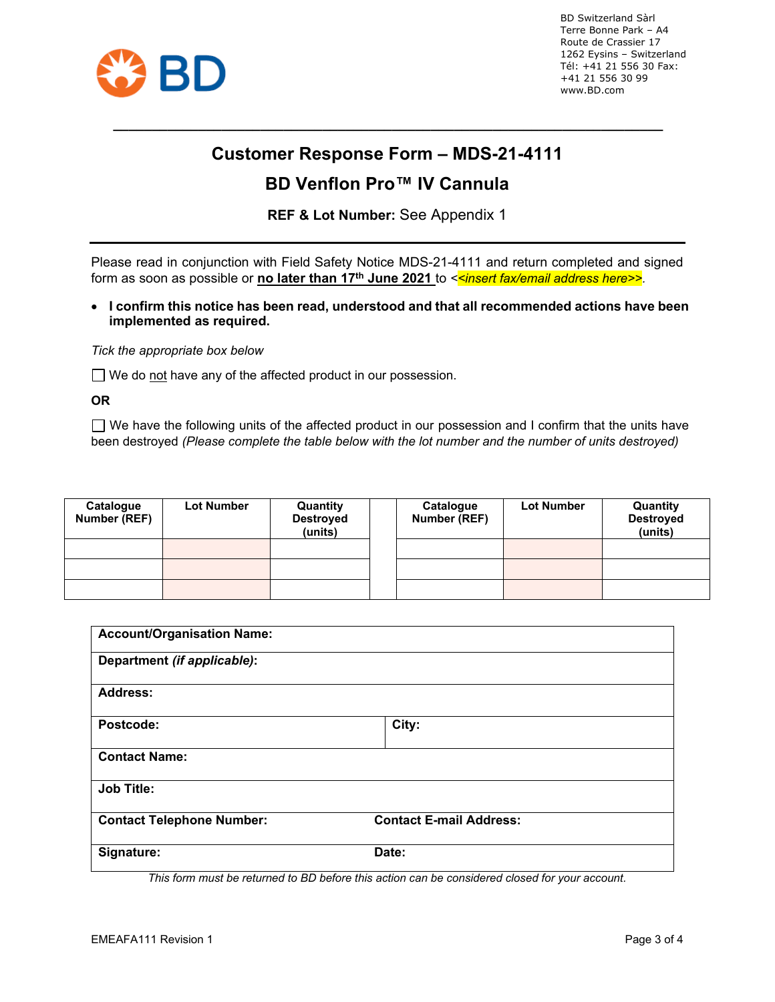

# **Customer Response Form – MDS-21-4111**

**\_\_\_\_\_\_\_\_\_\_\_\_\_\_\_\_\_\_\_\_\_\_\_\_\_\_\_\_\_\_\_\_\_\_\_\_\_\_\_\_\_\_\_\_\_\_\_\_\_\_\_\_\_\_\_\_\_\_\_\_\_\_\_\_\_\_\_\_\_\_\_**

# **BD Venflon Pro™ IV Cannula**

**REF & Lot Number:** See Appendix 1

Please read in conjunction with Field Safety Notice MDS-21-4111 and return completed and signed form as soon as possible or **no later than 17th June 2021** to *<<insert fax/email address here>>.*

• **I confirm this notice has been read, understood and that all recommended actions have been implemented as required.**

*Tick the appropriate box below*

□ We do not have any of the affected product in our possession.

**OR**

 $\Box$  We have the following units of the affected product in our possession and I confirm that the units have been destroyed *(Please complete the table below with the lot number and the number of units destroyed)*

| Catalogue<br><b>Number (REF)</b> | <b>Lot Number</b> | Quantity<br><b>Destroyed</b><br>(units) | Catalogue<br>Number (REF) | <b>Lot Number</b> | Quantity<br><b>Destroyed</b><br>(units) |
|----------------------------------|-------------------|-----------------------------------------|---------------------------|-------------------|-----------------------------------------|
|                                  |                   |                                         |                           |                   |                                         |
|                                  |                   |                                         |                           |                   |                                         |
|                                  |                   |                                         |                           |                   |                                         |

| <b>Account/Organisation Name:</b> |                                |  |
|-----------------------------------|--------------------------------|--|
| Department (if applicable):       |                                |  |
| <b>Address:</b>                   |                                |  |
| Postcode:                         | City:                          |  |
| <b>Contact Name:</b>              |                                |  |
| <b>Job Title:</b>                 |                                |  |
| <b>Contact Telephone Number:</b>  | <b>Contact E-mail Address:</b> |  |
| Signature:                        | Date:                          |  |

*This form must be returned to BD before this action can be considered closed for your account.*